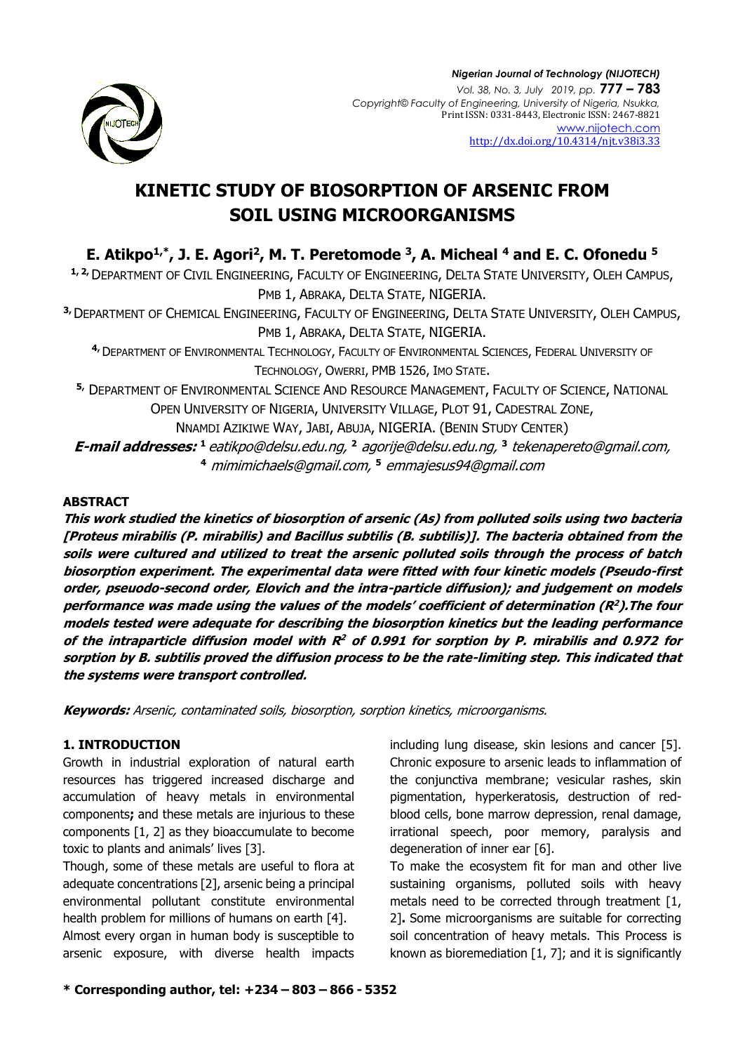

# **KINETIC STUDY OF BIOSORPTION OF ARSENIC FROM SOIL USING MICROORGANISMS**

**E. Atikpo1,\*, J. E. Agori<sup>2</sup> , M. T. Peretomode <sup>3</sup> , A. Micheal <sup>4</sup> and E. C. Ofonedu <sup>5</sup>**

**1, 2,**DEPARTMENT OF CIVIL ENGINEERING, FACULTY OF ENGINEERING, DELTA STATE UNIVERSITY, OLEH CAMPUS, PMB 1, ABRAKA, DELTA STATE, NIGERIA.

**3,**DEPARTMENT OF CHEMICAL ENGINEERING, FACULTY OF ENGINEERING, DELTA STATE UNIVERSITY, OLEH CAMPUS, PMB 1, ABRAKA, DELTA STATE, NIGERIA.

**4,**DEPARTMENT OF ENVIRONMENTAL TECHNOLOGY, FACULTY OF ENVIRONMENTAL SCIENCES, FEDERAL UNIVERSITY OF TECHNOLOGY, OWERRI, PMB 1526, IMO STATE.

**5,** DEPARTMENT OF ENVIRONMENTAL SCIENCE AND RESOURCE MANAGEMENT, FACULTY OF SCIENCE, NATIONAL OPEN UNIVERSITY OF NIGERIA, UNIVERSITY VILLAGE, PLOT 91, CADESTRAL ZONE, NNAMDI AZIKIWE WAY, JABI, ABUJA, NIGERIA. (BENIN STUDY CENTER)

**E-mail addresses: <sup>1</sup>** [eatikpo@delsu.edu.ng,](mailto:eatikpo@delsu.edu.ng) **<sup>2</sup>** [agorije@delsu.edu.ng,](mailto:agorije@delsu.edu.ng) **3** [tekenapereto@gmail.com,](mailto:tekenapereto@gmail.com) **<sup>4</sup>** [mimimichaels@gmail.com,](mailto:mimimichaels@gmail.com) **<sup>5</sup>** [emmajesus94@gmail.com](mailto:emmajesus94@gmail.com)

## **ABSTRACT**

**This work studied the kinetics of biosorption of arsenic (As) from polluted soils using two bacteria [Proteus mirabilis (P. mirabilis) and Bacillus subtilis (B. subtilis)]. The bacteria obtained from the soils were cultured and utilized to treat the arsenic polluted soils through the process of batch biosorption experiment. The experimental data were fitted with four kinetic models (Pseudo-first order, pseuodo-second order, Elovich and the intra-particle diffusion); and judgement on models performance was made using the values of the models' coefficient of determination (R<sup>2</sup> ).The four models tested were adequate for describing the biosorption kinetics but the leading performance of the intraparticle diffusion model with R<sup>2</sup> of 0.991 for sorption by P. mirabilis and 0.972 for sorption by B. subtilis proved the diffusion process to be the rate-limiting step. This indicated that the systems were transport controlled.**

**Keywords:** Arsenic, contaminated soils, biosorption, sorption kinetics, microorganisms.

## **1. INTRODUCTION**

Growth in industrial exploration of natural earth resources has triggered increased discharge and accumulation of heavy metals in environmental components**;** and these metals are injurious to these components [1, 2] as they bioaccumulate to become toxic to plants and animals' lives [3].

Though, some of these metals are useful to flora at adequate concentrations [2], arsenic being a principal environmental pollutant constitute environmental health problem for millions of humans on earth [4].

Almost every organ in human body is susceptible to arsenic exposure, with diverse health impacts including lung disease, skin lesions and cancer [5]. Chronic exposure to arsenic leads to inflammation of the conjunctiva membrane; vesicular rashes, skin pigmentation, hyperkeratosis, destruction of redblood cells, bone marrow depression, renal damage, irrational speech, poor memory, paralysis and degeneration of inner ear [6].

To make the ecosystem fit for man and other live sustaining organisms, polluted soils with heavy metals need to be corrected through treatment [1, 2]**.** Some microorganisms are suitable for correcting soil concentration of heavy metals. This Process is known as bioremediation  $[1, 7]$ ; and it is significantly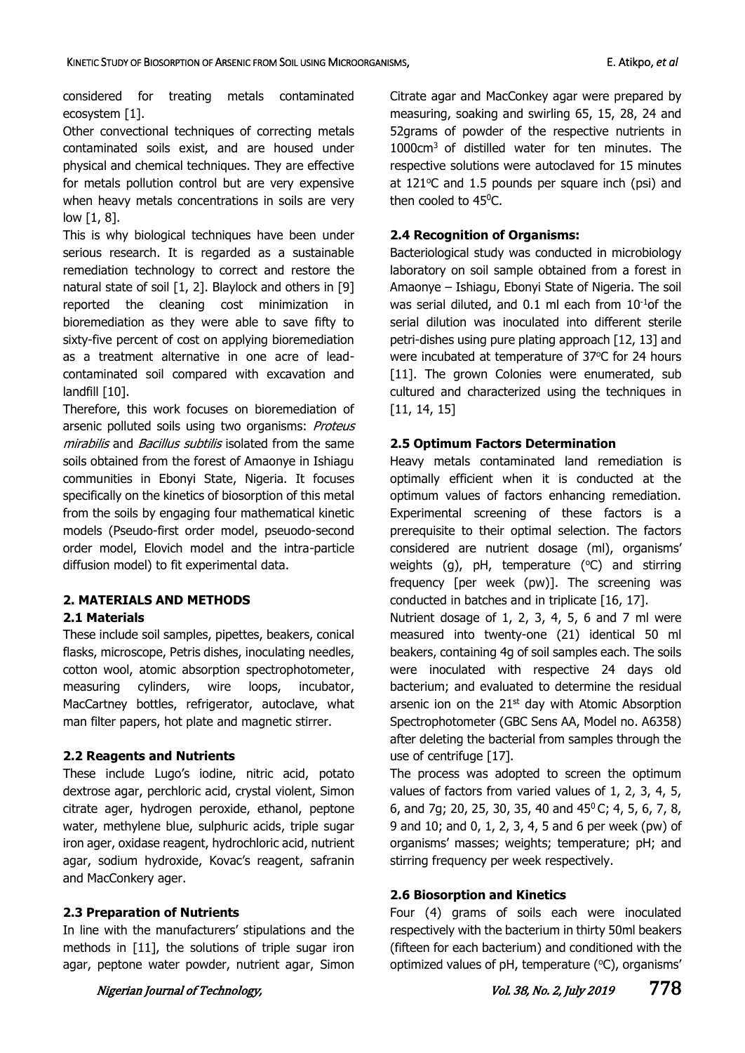considered for treating metals contaminated ecosystem [1].

Other convectional techniques of correcting metals contaminated soils exist, and are housed under physical and chemical techniques. They are effective for metals pollution control but are very expensive when heavy metals concentrations in soils are very low [1, 8].

This is why biological techniques have been under serious research. It is regarded as a sustainable remediation technology to correct and restore the natural state of soil [1, 2]. Blaylock and others in [9] reported the cleaning cost minimization in bioremediation as they were able to save fifty to sixty-five percent of cost on applying bioremediation as a treatment alternative in one acre of leadcontaminated soil compared with excavation and landfill [10].

Therefore, this work focuses on bioremediation of arsenic polluted soils using two organisms: Proteus mirabilis and Bacillus subtilis isolated from the same soils obtained from the forest of Amaonye in Ishiagu communities in Ebonyi State, Nigeria. It focuses specifically on the kinetics of biosorption of this metal from the soils by engaging four mathematical kinetic models (Pseudo-first order model, pseuodo-second order model, Elovich model and the intra-particle diffusion model) to fit experimental data.

# **2. MATERIALS AND METHODS**

## **2.1 Materials**

These include soil samples, pipettes, beakers, conical flasks, microscope, Petris dishes, inoculating needles, cotton wool, atomic absorption spectrophotometer, measuring cylinders, wire loops, incubator, MacCartney bottles, refrigerator, autoclave, what man filter papers, hot plate and magnetic stirrer.

## **2.2 Reagents and Nutrients**

These include Lugo's iodine, nitric acid, potato dextrose agar, perchloric acid, crystal violent, Simon citrate ager, hydrogen peroxide, ethanol, peptone water, methylene blue, sulphuric acids, triple sugar iron ager, oxidase reagent, hydrochloric acid, nutrient agar, sodium hydroxide, Kovac's reagent, safranin and MacConkery ager.

## **2.3 Preparation of Nutrients**

In line with the manufacturers' stipulations and the methods in [11], the solutions of triple sugar iron agar, peptone water powder, nutrient agar, Simon Citrate agar and MacConkey agar were prepared by measuring, soaking and swirling 65, 15, 28, 24 and 52grams of powder of the respective nutrients in 1000cm<sup>3</sup> of distilled water for ten minutes. The respective solutions were autoclaved for 15 minutes at  $121^{\circ}$ C and 1.5 pounds per square inch (psi) and then cooled to 45<sup>0</sup>C.

## **2.4 Recognition of Organisms:**

Bacteriological study was conducted in microbiology laboratory on soil sample obtained from a forest in Amaonye – Ishiagu, Ebonyi State of Nigeria. The soil was serial diluted, and 0.1 ml each from 10<sup>-1</sup>of the serial dilution was inoculated into different sterile petri-dishes using pure plating approach [12, 13] and were incubated at temperature of 37°C for 24 hours [11]. The grown Colonies were enumerated, sub cultured and characterized using the techniques in [11, 14, 15]

## **2.5 Optimum Factors Determination**

Heavy metals contaminated land remediation is optimally efficient when it is conducted at the optimum values of factors enhancing remediation. Experimental screening of these factors is a prerequisite to their optimal selection. The factors considered are nutrient dosage (ml), organisms' weights (g), pH, temperature ( $\degree$ C) and stirring frequency [per week (pw)]. The screening was conducted in batches and in triplicate [16, 17].

Nutrient dosage of 1, 2, 3, 4, 5, 6 and 7 ml were measured into twenty-one (21) identical 50 ml beakers, containing 4g of soil samples each. The soils were inoculated with respective 24 days old bacterium; and evaluated to determine the residual arsenic ion on the 21<sup>st</sup> day with Atomic Absorption Spectrophotometer (GBC Sens AA, Model no. A6358) after deleting the bacterial from samples through the use of centrifuge [17].

The process was adopted to screen the optimum values of factors from varied values of 1, 2, 3, 4, 5, 6, and 7g; 20, 25, 30, 35, 40 and 45<sup>0</sup>C; 4, 5, 6, 7, 8, 9 and 10; and 0, 1, 2, 3, 4, 5 and 6 per week (pw) of organisms' masses; weights; temperature; pH; and stirring frequency per week respectively.

# **2.6 Biosorption and Kinetics**

Four (4) grams of soils each were inoculated respectively with the bacterium in thirty 50ml beakers (fifteen for each bacterium) and conditioned with the optimized values of pH, temperature  $(°C)$ , organisms'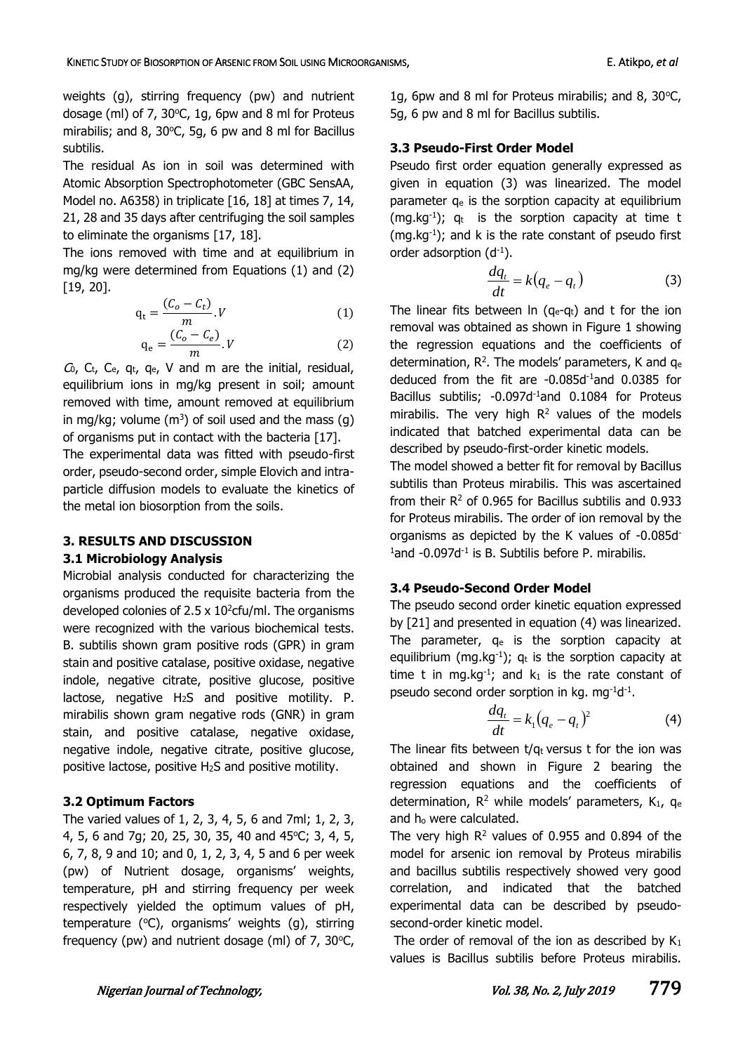weights (g), stirring frequency (pw) and nutrient dosage (ml) of 7, 30 $\degree$ C, 1g, 6pw and 8 ml for Proteus mirabilis; and 8, 30 $\degree$ C, 5g, 6 pw and 8 ml for Bacillus subtilis.

The residual As ion in soil was determined with Atomic Absorption Spectrophotometer (GBC SensAA, Model no. A6358) in triplicate [16, 18] at times 7, 14, 21, 28 and 35 days after centrifuging the soil samples to eliminate the organisms [17, 18].

The ions removed with time and at equilibrium in mg/kg were determined from Equations (1) and (2) [19, 20].

$$
q_t = \frac{(C_o - C_t)}{m} \cdot V \tag{1}
$$

$$
q_e = \frac{(C_o - C_e)}{m} \cdot V \tag{2}
$$

 $C_0$ ,  $C_t$ ,  $C_e$ ,  $q_t$ ,  $q_e$ , V and m are the initial, residual, equilibrium ions in mg/kg present in soil; amount removed with time, amount removed at equilibrium in mg/kg; volume  $(m^3)$  of soil used and the mass  $(g)$ of organisms put in contact with the bacteria [17].

The experimental data was fitted with pseudo-first order, pseudo-second order, simple Elovich and intraparticle diffusion models to evaluate the kinetics of the metal ion biosorption from the soils.

#### **3. RESULTS AND DISCUSSION**

#### **3.1 Microbiology Analysis**

Microbial analysis conducted for characterizing the organisms produced the requisite bacteria from the developed colonies of 2.5  $\times$  10<sup>2</sup> cfu/ml. The organisms were recognized with the various biochemical tests. B. subtilis shown gram positive rods (GPR) in gram stain and positive catalase, positive oxidase, negative indole, negative citrate, positive glucose, positive lactose, negative H2S and positive motility. P. mirabilis shown gram negative rods (GNR) in gram stain, and positive catalase, negative oxidase, negative indole, negative citrate, positive glucose, positive lactose, positive H2S and positive motility.

#### **3.2 Optimum Factors**

The varied values of 1, 2, 3, 4, 5, 6 and 7ml; 1, 2, 3, 4, 5, 6 and 7g; 20, 25, 30, 35, 40 and 45°C; 3, 4, 5, 6, 7, 8, 9 and 10; and 0, 1, 2, 3, 4, 5 and 6 per week (pw) of Nutrient dosage, organisms' weights, temperature, pH and stirring frequency per week respectively yielded the optimum values of pH, temperature ( $\degree$ C), organisms' weights (g), stirring frequency (pw) and nutrient dosage (ml) of  $7, 30^{\circ}$ C, 1g, 6pw and 8 ml for Proteus mirabilis; and 8, 30 $\degree$ C, 5g, 6 pw and 8 ml for Bacillus subtilis.

#### **3.3 Pseudo-First Order Model**

Pseudo first order equation generally expressed as given in equation (3) was linearized. The model parameter  $q_e$  is the sorption capacity at equilibrium (mg.kg<sup>-1</sup>);  $q_t$  is the sorption capacity at time t  $(mg.kg<sup>-1</sup>)$ ; and k is the rate constant of pseudo first order adsorption  $(d^{-1})$ .

$$
\frac{dq_t}{dt} = k(q_e - q_t)
$$
 (3)

The linear fits between  $\ln$  (q<sub>e</sub>-q<sub>t</sub>) and t for the ion removal was obtained as shown in Figure 1 showing the regression equations and the coefficients of determination,  $R^2$ . The models' parameters, K and  $q_e$ deduced from the fit are -0.085d-1and 0.0385 for Bacillus subtilis: -0.097d<sup>-1</sup>and 0.1084 for Proteus mirabilis. The very high  $R<sup>2</sup>$  values of the models indicated that batched experimental data can be described by pseudo-first-order kinetic models.

The model showed a better fit for removal by Bacillus subtilis than Proteus mirabilis. This was ascertained from their  $R<sup>2</sup>$  of 0.965 for Bacillus subtilis and 0.933 for Proteus mirabilis. The order of ion removal by the organisms as depicted by the K values of -0.085d- $1$ and -0.097d $-1$  is B. Subtilis before P. mirabilis.

#### **3.4 Pseudo-Second Order Model**

The pseudo second order kinetic equation expressed by [21] and presented in equation (4) was linearized. The parameter,  $q_e$  is the sorption capacity at equilibrium (mg.kg<sup>-1</sup>);  $q_t$  is the sorption capacity at time t in mg.kg<sup>-1</sup>; and  $k_1$  is the rate constant of pseudo second order sorption in  $kg$ . mg<sup>-1</sup>d<sup>-1</sup>.

$$
\frac{dq_t}{dt} = k_1 (q_e - q_t)^2 \tag{4}
$$

The linear fits between  $t/q_t$  versus t for the ion was obtained and shown in Figure 2 bearing the regression equations and the coefficients of determination,  $R^2$  while models' parameters,  $K_1$ , q<sub>e</sub> and h<sub>o</sub> were calculated.

The very high  $R^2$  values of 0.955 and 0.894 of the model for arsenic ion removal by Proteus mirabilis and bacillus subtilis respectively showed very good correlation, and indicated that the batched experimental data can be described by pseudosecond-order kinetic model.

The order of removal of the ion as described by  $K_1$ values is Bacillus subtilis before Proteus mirabilis.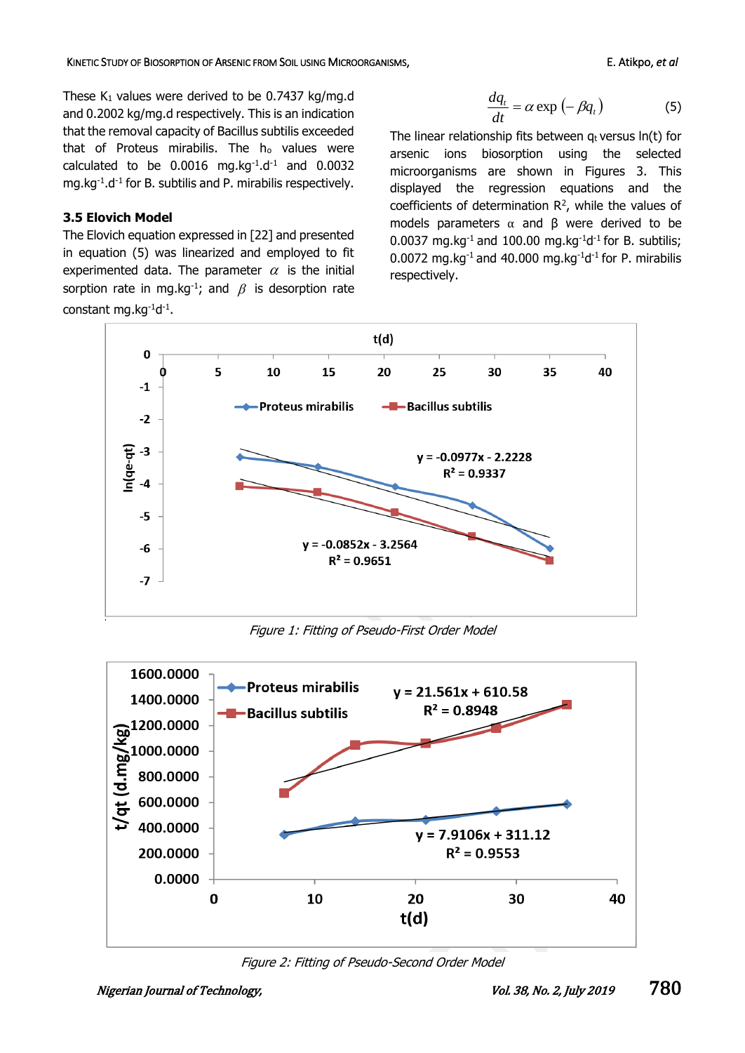These  $K_1$  values were derived to be 0.7437 kg/mg.d and 0.2002 kg/mg.d respectively. This is an indication that the removal capacity of Bacillus subtilis exceeded that of Proteus mirabilis. The ho values were calculated to be  $0.0016$  mg.kg $^{-1}$ .d $^{-1}$  and  $0.0032$ mg.kg<sup>-1</sup>.d<sup>-1</sup> for B. subtilis and P. mirabilis respectively.

## **3.5 Elovich Model**

The Elovich equation expressed in [22] and presented in equation (5) was linearized and employed to fit experimented data. The parameter  $\alpha$  is the initial sorption rate in mg.kg<sup>-1</sup>; and  $\beta$  is desorption rate constant mg.kg<sup>-1</sup>d<sup>-1</sup>.

$$
\frac{dq_{t}}{dt} = \alpha \exp(-\beta q_{t})
$$
 (5)

The linear relationship fits between  $q_t$  versus  $ln(t)$  for arsenic ions biosorption using the selected microorganisms are shown in Figures 3. This displayed the regression equations and the coefficients of determination  $\mathbb{R}^2$ , while the values of models parameters  $\alpha$  and  $\beta$  were derived to be 0.0037 mg.kg $^{-1}$  and 100.00 mg.kg $^{-1}$ d $^{-1}$  for B. subtilis; 0.0072 mg.kg $^{-1}$  and 40.000 mg.kg $^{-1}$ d $^{-1}$  for P. mirabilis respectively.



Figure 1: Fitting of Pseudo-First Order Model



Figure 2: Fitting of Pseudo-Second Order Model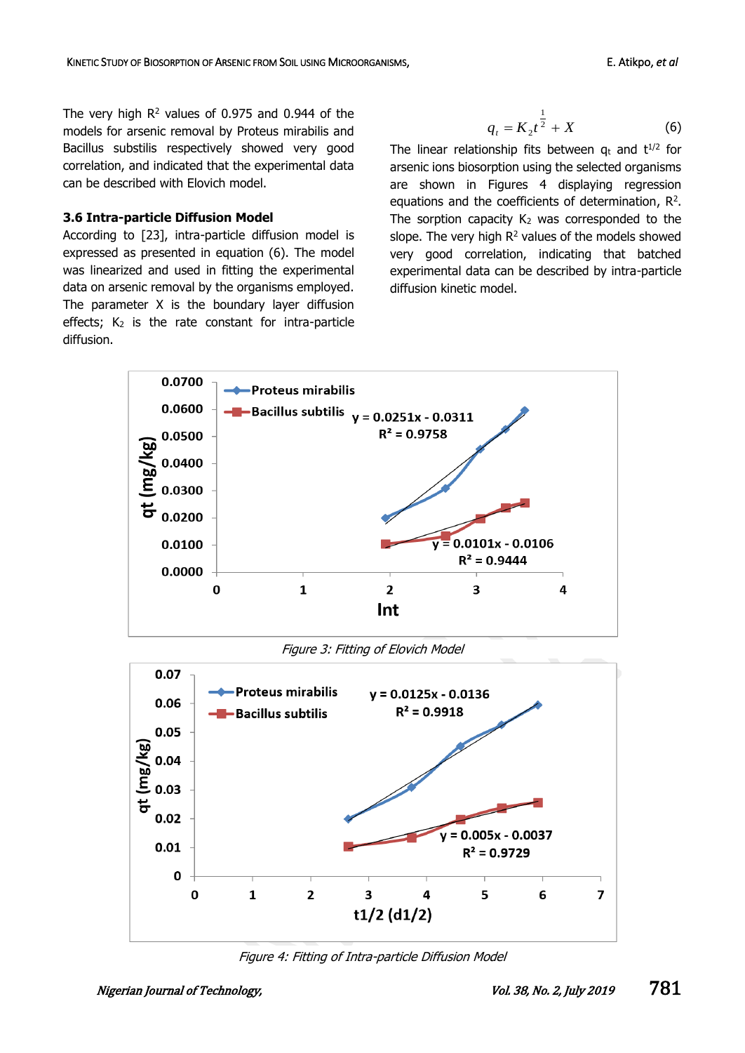The very high  $R^2$  values of 0.975 and 0.944 of the models for arsenic removal by Proteus mirabilis and Bacillus substilis respectively showed very good correlation, and indicated that the experimental data can be described with Elovich model.

#### **3.6 Intra-particle Diffusion Model**

According to [23], intra-particle diffusion model is expressed as presented in equation (6). The model was linearized and used in fitting the experimental data on arsenic removal by the organisms employed. The parameter X is the boundary layer diffusion effects;  $K_2$  is the rate constant for intra-particle diffusion.

$$
q_{t} = K_{2} t^{\frac{1}{2}} + X \tag{6}
$$

The linear relationship fits between  $q_t$  and  $t^{1/2}$  for arsenic ions biosorption using the selected organisms are shown in Figures 4 displaying regression equations and the coefficients of determination,  $R^2$ . The sorption capacity  $K_2$  was corresponded to the slope. The very high  $R^2$  values of the models showed very good correlation, indicating that batched experimental data can be described by intra-particle diffusion kinetic model.



Figure 3: Fitting of Elovich Model



Figure 4: Fitting of Intra-particle Diffusion Model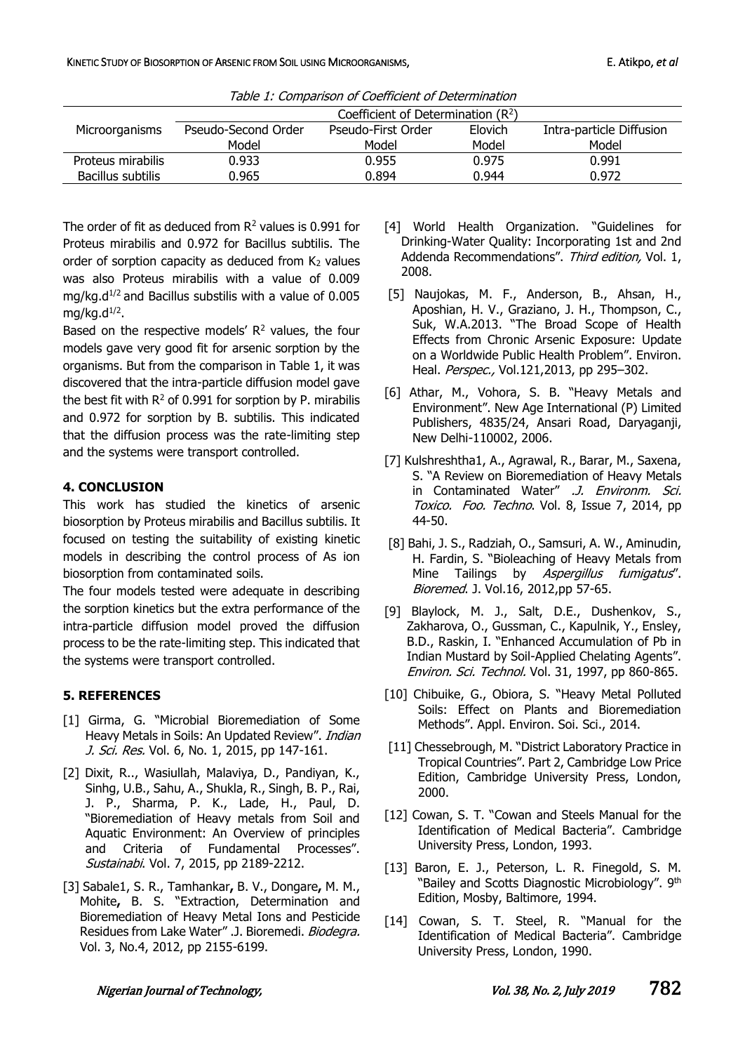KINETIC STUDY OF BIOSORPTION OF ARSENIC FROM SOIL USING MICROORGANISMS, **E. A. E. Atikpo,** *et al* 

| Table 1: Companson of Coemcient of Determination |                                      |                    |         |                          |
|--------------------------------------------------|--------------------------------------|--------------------|---------|--------------------------|
|                                                  | Coefficient of Determination $(R^2)$ |                    |         |                          |
| Microorganisms                                   | Pseudo-Second Order                  | Pseudo-First Order | Elovich | Intra-particle Diffusion |
|                                                  | Model                                | Model              | Model   | Model                    |
| Proteus mirabilis                                | 0.933                                | 0.955              | 0.975   | 0.991                    |
| Bacillus subtilis                                | 0.965                                | 0.894              | 0.944   | 0.972                    |

Table 1: Comparison of Coefficient of Determination

The order of fit as deduced from  $R^2$  values is 0.991 for Proteus mirabilis and 0.972 for Bacillus subtilis. The order of sorption capacity as deduced from  $K_2$  values was also Proteus mirabilis with a value of 0.009 mg/kg. $d^{1/2}$  and Bacillus substilis with a value of 0.005 mg/kg.d $^{1/2}$ .

Based on the respective models'  $R<sup>2</sup>$  values, the four models gave very good fit for arsenic sorption by the organisms. But from the comparison in Table 1, it was discovered that the intra-particle diffusion model gave the best fit with  $R^2$  of 0.991 for sorption by P. mirabilis and 0.972 for sorption by B. subtilis. This indicated that the diffusion process was the rate-limiting step and the systems were transport controlled.

## **4. CONCLUSION**

This work has studied the kinetics of arsenic biosorption by Proteus mirabilis and Bacillus subtilis. It focused on testing the suitability of existing kinetic models in describing the control process of As ion biosorption from contaminated soils.

The four models tested were adequate in describing the sorption kinetics but the extra performance of the intra-particle diffusion model proved the diffusion process to be the rate-limiting step. This indicated that the systems were transport controlled.

## **5. REFERENCES**

- [1] Girma, G. "Microbial Bioremediation of Some Heavy Metals in Soils: An Updated Review". Indian J. Sci. Res. Vol. 6, No. 1, 2015, pp 147-161.
- [2] Dixit, R.., Wasiullah, Malaviya, D., Pandiyan, K., Sinhg, U.B., Sahu, A., Shukla, R., Singh, B. P., Rai, J. P., Sharma, P. K., Lade, H., Paul, D. "Bioremediation of Heavy metals from Soil and Aquatic Environment: An Overview of principles and Criteria of Fundamental Processes". Sustainabi. Vol. 7, 2015, pp 2189-2212.
- [3] Sabale1, S. R., Tamhankar**,** B. V., Dongare**,** M. M., Mohite**,** B. S. "Extraction, Determination and Bioremediation of Heavy Metal Ions and Pesticide Residues from Lake Water" .J. Bioremedi. Biodegra. Vol. 3, No.4, 2012, pp 2155-6199.
- [4] World Health Organization. "Guidelines for Drinking-Water Quality: Incorporating 1st and 2nd Addenda Recommendations". Third edition, Vol. 1, 2008.
- [5] Naujokas, M. F., Anderson, B., Ahsan, H., Aposhian, H. V., Graziano, J. H., Thompson, C., Suk, W.A.2013. "The Broad Scope of Health Effects from Chronic Arsenic Exposure: Update on a Worldwide Public Health Problem". Environ. Heal. Perspec., Vol.121,2013, pp 295-302.
- [6] Athar, M., Vohora, S. B. "Heavy Metals and Environment". New Age International (P) Limited Publishers, 4835/24, Ansari Road, Daryaganji, New Delhi-110002, 2006.
- [7] Kulshreshtha1, A., Agrawal, R., Barar, M., Saxena, S. "A Review on Bioremediation of Heavy Metals in Contaminated Water" .J. Environm. Sci. Toxico. Foo. Techno. Vol. 8, Issue 7, 2014, pp 44-50.
- [8] Bahi, J. S., Radziah, O., Samsuri, A. W., Aminudin, H. Fardin, S. "Bioleaching of Heavy Metals from Mine Tailings by Aspergillus fumigatus". Bioremed. J. Vol.16, 2012,pp 57-65.
- [9] Blaylock, M. J., Salt, D.E., Dushenkov, S., Zakharova, O., Gussman, C., Kapulnik, Y., Ensley, B.D., Raskin, I. "Enhanced Accumulation of Pb in Indian Mustard by Soil-Applied Chelating Agents". Environ. Sci. Technol. Vol. 31, 1997, pp 860-865.
- [10] Chibuike, G., Obiora, S. "Heavy Metal Polluted Soils: Effect on Plants and Bioremediation Methods". Appl. Environ. Soi. Sci., 2014.
- [11] Chessebrough, M. "District Laboratory Practice in Tropical Countries". Part 2, Cambridge Low Price Edition, Cambridge University Press, London, 2000.
- [12] Cowan, S. T. "Cowan and Steels Manual for the Identification of Medical Bacteria". Cambridge University Press, London, 1993.
- [13] Baron, E. J., Peterson, L. R. Finegold, S. M. "Bailey and Scotts Diagnostic Microbiology". 9th Edition, Mosby, Baltimore, 1994.
- [14] Cowan, S. T. Steel, R. "Manual for the Identification of Medical Bacteria". Cambridge University Press, London, 1990.